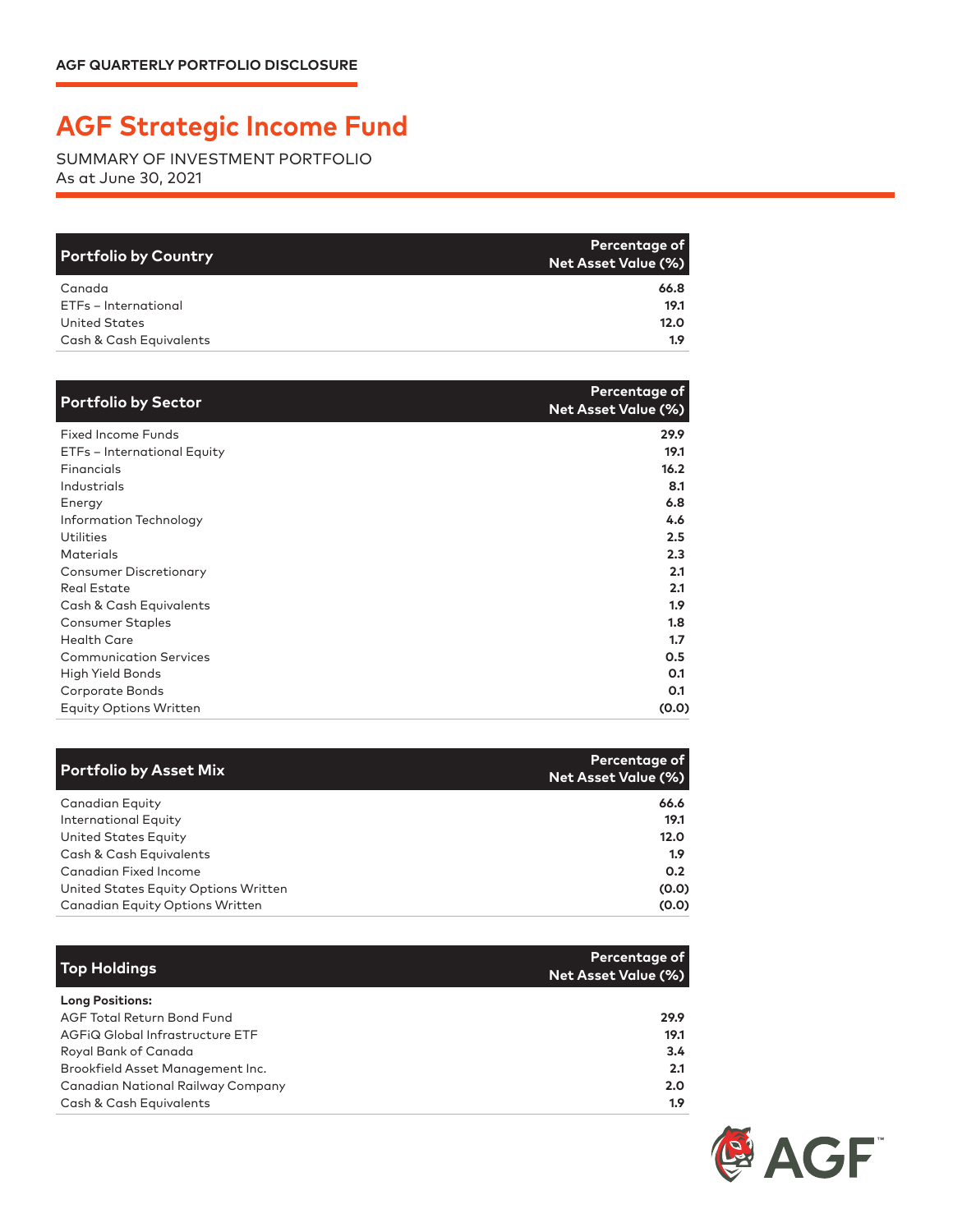## **AGF Strategic Income Fund**

SUMMARY OF INVESTMENT PORTFOLIO As at June 30, 2021

| <b>Portfolio by Country</b> | Percentage of<br><b>Net Asset Value (%)</b> |
|-----------------------------|---------------------------------------------|
| Canada                      | 66.8                                        |
| ETFs - International        | 19.1                                        |
| <b>United States</b>        | 12.0                                        |
| Cash & Cash Equivalents     | 1.9                                         |

| <b>Portfolio by Sector</b>    | Percentage of<br><b>Net Asset Value (%)</b> |
|-------------------------------|---------------------------------------------|
| <b>Fixed Income Funds</b>     | 29.9                                        |
| ETFs - International Equity   | 19.1                                        |
| Financials                    | 16.2                                        |
| Industrials                   | 8.1                                         |
| Energy                        | 6.8                                         |
| Information Technology        | 4.6                                         |
| Utilities                     | 2.5                                         |
| <b>Materials</b>              | 2.3                                         |
| <b>Consumer Discretionary</b> | 2.1                                         |
| <b>Real Estate</b>            | 2.1                                         |
| Cash & Cash Equivalents       | 1.9 <sup>2</sup>                            |
| <b>Consumer Staples</b>       | 1.8                                         |
| <b>Health Care</b>            | 1.7                                         |
| <b>Communication Services</b> | 0.5                                         |
| High Yield Bonds              | 0.1                                         |
| Corporate Bonds               | 0.1                                         |
| <b>Equity Options Written</b> | (0.0)                                       |

| <b>Portfolio by Asset Mix</b>          | <b>Percentage of</b><br>Net Asset Value (%) |
|----------------------------------------|---------------------------------------------|
| Canadian Equity                        | 66.6                                        |
| <b>International Equity</b>            | 19.1                                        |
| United States Equity                   | 12.0                                        |
| Cash & Cash Equivalents                | 1.9                                         |
| Canadian Fixed Income                  | 0.2                                         |
| United States Equity Options Written   | (0.0)                                       |
| <b>Canadian Equity Options Written</b> | (0.0)                                       |

| <b>Top Holdings</b>               | Percentage of<br><b>Net Asset Value (%)</b> |
|-----------------------------------|---------------------------------------------|
| <b>Long Positions:</b>            |                                             |
| <b>AGF Total Return Bond Fund</b> | 29.9                                        |
| AGFIQ Global Infrastructure ETF   | 19.1                                        |
| Royal Bank of Canada              | 3.4                                         |
| Brookfield Asset Management Inc.  | 2.1                                         |
| Canadian National Railway Company | 2.0 <sub>2</sub>                            |
| Cash & Cash Equivalents           | 1.9                                         |